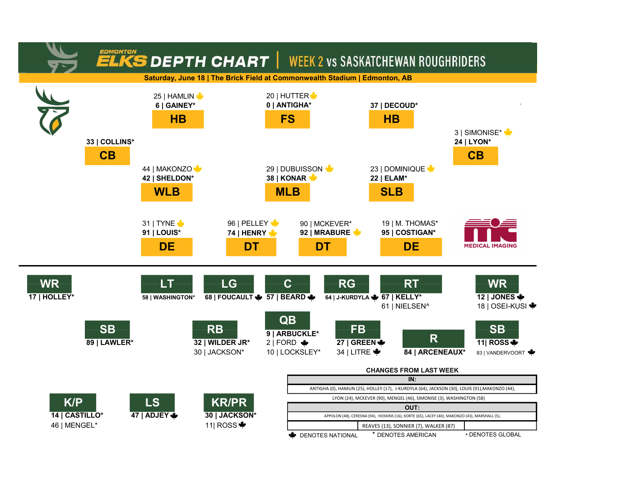